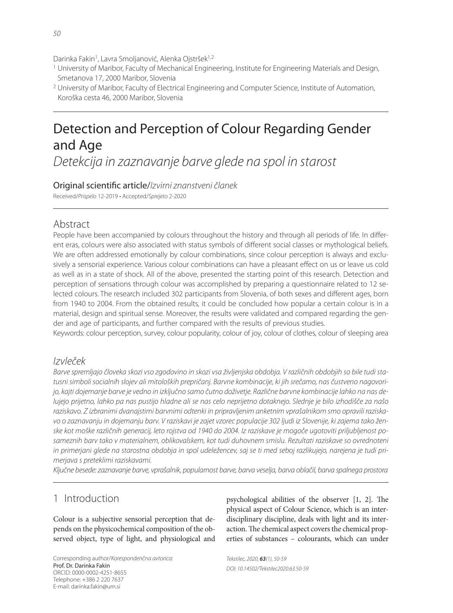Darinka Fakin<sup>1</sup>, Lavra Smoljanović, Alenka Ojstršek<sup>1,2</sup>

- 1 University of Maribor, Faculty of Mechanical Engineering, Institute for Engineering Materials and Design, Smetanova 17, 2000 Maribor, Slovenia
- 2 University of Maribor, Faculty of Electrical Engineering and Computer Science, Institute of Automation, Koroška cesta 46, 2000 Maribor, Slovenia

# Detection and Perception of Colour Regarding Gender and Age

Detekcija in zaznavanje barve glede na spol in starost

Original scientific article/Izvirni znanstveni članek

Received/Prispelo 12-2019 • Accepted/Sprejeto 2-2020

#### Abstract

People have been accompanied by colours throughout the history and through all periods of life. In different eras, colours were also associated with status symbols of different social classes or mythological beliefs. We are often addressed emotionally by colour combinations, since colour perception is always and exclusively a sensorial experience. Various colour combinations can have a pleasant effect on us or leave us cold as well as in a state of shock. All of the above, presented the starting point of this research. Detection and perception of sensations through colour was accomplished by preparing a questionnaire related to 12 selected colours. The research included 302 participants from Slovenia, of both sexes and different ages, born from 1940 to 2004. From the obtained results, it could be concluded how popular a certain colour is in a material, design and spiritual sense. Moreover, the results were validated and compared regarding the gender and age of participants, and further compared with the results of previous studies.

Keywords: colour perception, survey, colour popularity, colour of joy, colour of clothes, colour of sleeping area

#### Izvleček

Barve spremljajo človeka skozi vso zgodovino in skozi vsa življenjska obdobja. V različnih obdobjih so bile tudi statusni simboli socialnih slojev ali mitoloških prepričanj. Barvne kombinacije, ki jih srečamo, nas čustveno nagovorijo, kajti dojemanje barve je vedno in izključno samo čutno doživetje. Različne barvne kombinacije lahko na nas delujejo prijetno, lahko pa nas pustijo hladne ali se nas celo neprijetno dotaknejo. Slednje je bilo izhodišče za našo raziskavo. Z izbranimi dvanajstimi barvnimi odtenki in pripravljenim anketnim vprašalnikom smo opravili raziskavo o zaznavanju in dojemanju barv. V raziskavi je zajet vzorec populacije 302 ljudi iz Slovenije, ki zajema tako ženske kot moške različnih generacij, leto rojstva od 1940 do 2004. Iz raziskave je mogoče ugotoviti priljubljenost posameznih barv tako v materialnem, oblikovalskem, kot tudi duhovnem smislu. Rezultati raziskave so ovrednoteni in primerjani glede na starostna obdobja in spol udeležencev, saj se ti med seboj razlikujejo, narejena je tudi primerjava s preteklimi raziskavami.

Ključne besede: zaznavanje barve, vprašalnik, popularnost barve, barva veselja, barva oblačil, barva spalnega prostora

## 1 Introduction

Colour is a subjective sensorial perception that depends on the physicochemical composition of the observed object, type of light, and physiological and

Corresponding author/Korespondenčna avtorica: Prof. Dr. Darinka Fakin ORCID: 0000-0002-4251-8655 Telephone: +386 2 220 7637 E-mail: darinka.fakin@um.si

psychological abilities of the observer  $[1, 2]$ . The physical aspect of Colour Science, which is an interdisciplinary discipline, deals with light and its interaction. The chemical aspect covers the chemical properties of substances – colourants, which can under

Tekstilec, 2020, *63*(1), 50-59 DOI: 10.14502/Tekstilec2020.63.50-59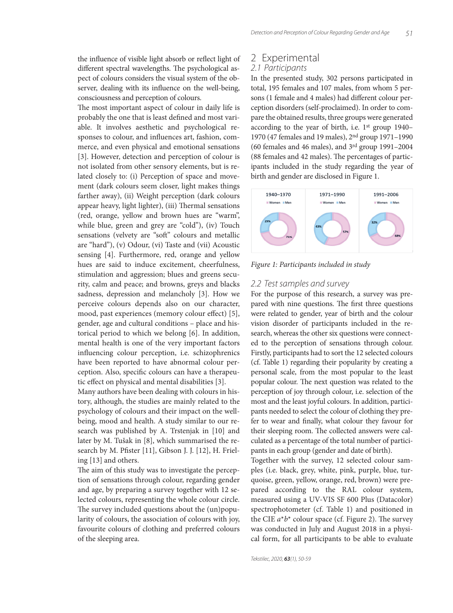the influence of visible light absorb or reflect light of different spectral wavelengths. The psychological aspect of colours considers the visual system of the observer, dealing with its influence on the well-being, consciousness and perception of colours.

The most important aspect of colour in daily life is probably the one that is least defined and most variable. It involves aesthetic and psychological responses to colour, and influences art, fashion, commerce, and even physical and emotional sensations [3]. However, detection and perception of colour is not isolated from other sensory elements, but is related closely to: (i) Perception of space and movement (dark colours seem closer, light makes things farther away), (ii) Weight perception (dark colours appear heavy, light lighter), (iii) Thermal sensations (red, orange, yellow and brown hues are "warm", while blue, green and grey are "cold"), (iv) Touch sensations (velvety are "soft" colours and metallic are "hard"), (v) Odour, (vi) Taste and (vii) Acoustic sensing [4]. Furthermore, red, orange and yellow hues are said to induce excitement, cheerfulness, stimulation and aggression; blues and greens security, calm and peace; and browns, greys and blacks sadness, depression and melancholy [3]. How we perceive colours depends also on our character, mood, past experiences (memory colour effect) [5], gender, age and cultural conditions – place and historical period to which we belong [6]. In addition, mental health is one of the very important factors influencing colour perception, i.e. schizophrenics have been reported to have abnormal colour perception. Also, specific colours can have a therapeutic effect on physical and mental disabilities [3].

Many authors have been dealing with colours in history, although, the studies are mainly related to the psychology of colours and their impact on the wellbeing, mood and health. A study similar to our research was published by A. Trstenjak in [10] and later by M. Tušak in [8], which summarised the research by M. Pfister [11], Gibson J. J. [12], H. Frieling [13] and others.

The aim of this study was to investigate the perception of sensations through colour, regarding gender and age, by preparing a survey together with 12 selected colours, representing the whole colour circle. The survey included questions about the (un)popularity of colours, the association of colours with joy, favourite colours of clothing and preferred colours of the sleeping area.

## 2 Experimental

#### 2.1 Participants

In the presented study, 302 persons participated in total, 195 females and 107 males, from whom 5 persons (1 female and 4 males) had different colour perception disorders (self-proclaimed). In order to compare the obtained results, three groups were generated according to the year of birth, i.e. 1st group 1940– 1970 (47 females and 19 males), 2nd group 1971–1990 (60 females and 46 males), and 3rd group 1991–2004 (88 females and 42 males). The percentages of participants included in the study regarding the year of birth and gender are disclosed in Figure 1.



*Figure 1: Participants included in study*

#### 2.2 Test samples and survey

For the purpose of this research, a survey was prepared with nine questions. The first three questions were related to gender, year of birth and the colour vision disorder of participants included in the research, whereas the other six questions were connected to the perception of sensations through colour. Firstly, participants had to sort the 12 selected colours (cf. Table 1) regarding their popularity by creating a personal scale, from the most popular to the least popular colour. The next question was related to the perception of joy through colour, i.e. selection of the most and the least joyful colours. In addition, participants needed to select the colour of clothing they prefer to wear and finally, what colour they favour for their sleeping room. The collected answers were calculated as a percentage of the total number of participants in each group (gender and date of birth).

Together with the survey, 12 selected colour samples (i.e. black, grey, white, pink, purple, blue, turquoise, green, yellow, orange, red, brown) were prepared according to the RAL colour system, measured using a UV-VIS SF 600 Plus (Datacolor) spectrophotometer (cf. Table 1) and positioned in the CIE  $a^*b^*$  colour space (cf. Figure 2). The survey was conducted in July and August 2018 in a physical form, for all participants to be able to evaluate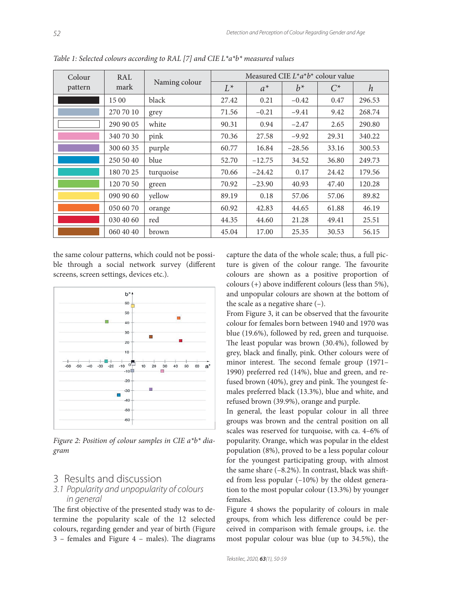| Colour<br>pattern | RAL<br>mark | Naming colour | Measured CIE $L^*a^*b^*$ colour value |          |          |       |        |
|-------------------|-------------|---------------|---------------------------------------|----------|----------|-------|--------|
|                   |             |               | $L^*$                                 | $a^*$    | $h^*$    | $C^*$ | h      |
|                   | 15 00       | black         | 27.42                                 | 0.21     | $-0.42$  | 0.47  | 296.53 |
|                   | 270 70 10   | grey          | 71.56                                 | $-0.21$  | $-9.41$  | 9.42  | 268.74 |
|                   | 290 90 05   | white         | 90.31                                 | 0.94     | $-2.47$  | 2.65  | 290.80 |
|                   | 340 70 30   | pink          | 70.36                                 | 27.58    | $-9.92$  | 29.31 | 340.22 |
|                   | 300 60 35   | purple        | 60.77                                 | 16.84    | $-28.56$ | 33.16 | 300.53 |
|                   | 250 50 40   | blue          | 52.70                                 | $-12.75$ | 34.52    | 36.80 | 249.73 |
|                   | 180 70 25   | turquoise     | 70.66                                 | $-24.42$ | 0.17     | 24.42 | 179.56 |
|                   | 120 70 50   | green         | 70.92                                 | $-23.90$ | 40.93    | 47.40 | 120.28 |
|                   | 090 90 60   | yellow        | 89.19                                 | 0.18     | 57.06    | 57.06 | 89.82  |
|                   | 050 60 70   | orange        | 60.92                                 | 42.83    | 44.65    | 61.88 | 46.19  |
|                   | 030 40 60   | red           | 44.35                                 | 44.60    | 21.28    | 49.41 | 25.51  |
|                   | 060 40 40   | brown         | 45.04                                 | 17.00    | 25.35    | 30.53 | 56.15  |

*Table 1: Selected colours according to RAL [7] and CIE L\*a\*b\* measured values*

the same colour patterns, which could not be possible through a social network survey (different screens, screen settings, devices etc.).



*Figure 2: Position of colour samples in CIE a\*b\* diagram*

## 3 Results and discussion

#### 3.1 Popularity and unpopularity of colours in general

The first objective of the presented study was to determine the popularity scale of the 12 selected colours, regarding gender and year of birth (Figure  $3$  – females and Figure  $4$  – males). The diagrams capture the data of the whole scale; thus, a full picture is given of the colour range. The favourite colours are shown as a positive proportion of colours  $(+)$  above indifferent colours (less than 5%), and unpopular colours are shown at the bottom of the scale as a negative share  $(-)$ .

From Figure 3, it can be observed that the favourite colour for females born between 1940 and 1970 was blue (19.6%), followed by red, green and turquoise. The least popular was brown  $(30.4\%)$ , followed by grey, black and finally, pink. Other colours were of minor interest. The second female group (1971– 1990) preferred red (14%), blue and green, and refused brown  $(40\%)$ , grey and pink. The youngest females preferred black (13.3%), blue and white, and refused brown (39.9%), orange and purple.

In general, the least popular colour in all three groups was brown and the central position on all scales was reserved for turquoise, with ca. 4–6% of popularity. Orange, which was popular in the eldest population (8%), proved to be a less popular colour for the youngest participating group, with almost the same share  $(-8.2\%)$ . In contrast, black was shifted from less popular (–10%) by the oldest generation to the most popular colour (13.3%) by younger females.

Figure 4 shows the popularity of colours in male groups, from which less difference could be perceived in comparison with female groups, i.e. the most popular colour was blue (up to 34.5%), the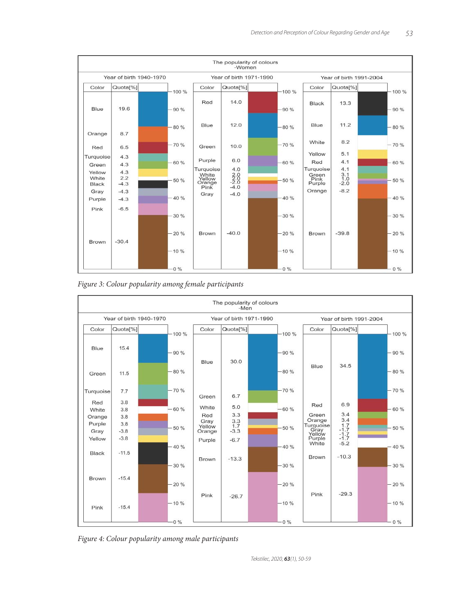

*Figure 3: Colour popularity among female participants*



*Figure 4: Colour popularity among male participants*

Tekstilec, 2020, *63*(1), 50-59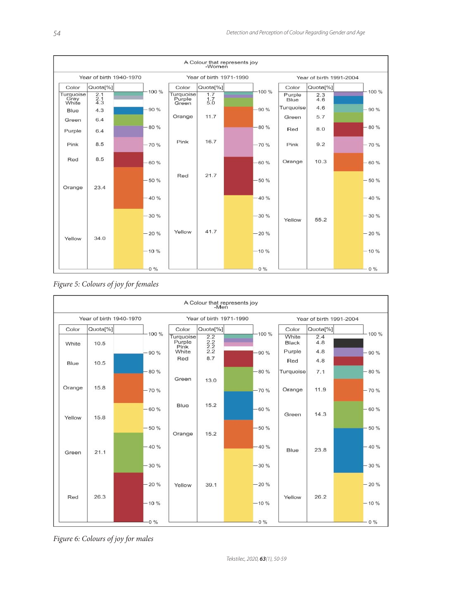





*Figure 6: Colours of joy for males*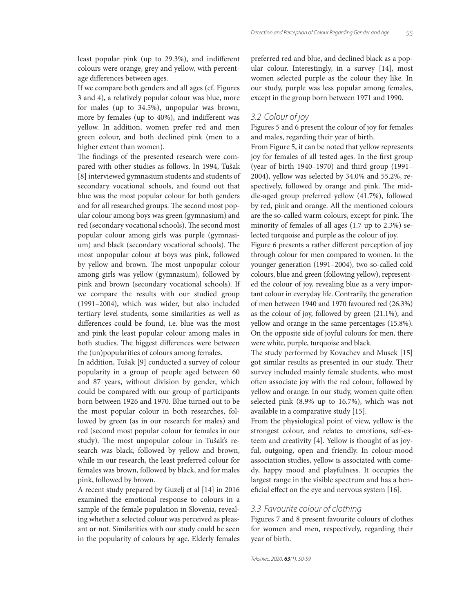least popular pink (up to 29.3%), and indifferent colours were orange, grey and yellow, with percentage differences between ages.

If we compare both genders and all ages (cf. Figures 3 and 4), a relatively popular colour was blue, more for males (up to 34.5%), unpopular was brown, more by females (up to 40%), and indifferent was yellow. In addition, women prefer red and men green colour, and both declined pink (men to a higher extent than women).

The findings of the presented research were compared with other studies as follows. In 1994, Tušak [8] interviewed gymnasium students and students of secondary vocational schools, and found out that blue was the most popular colour for both genders and for all researched groups. The second most popular colour among boys was green (gymnasium) and red (secondary vocational schools). The second most popular colour among girls was purple (gymnasium) and black (secondary vocational schools). The most unpopular colour at boys was pink, followed by yellow and brown. The most unpopular colour among girls was yellow (gymnasium), followed by pink and brown (secondary vocational schools). If we compare the results with our studied group (1991–2004), which was wider, but also included tertiary level students, some similarities as well as differences could be found, i.e. blue was the most and pink the least popular colour among males in both studies. The biggest differences were between the (un)popularities of colours among females.

In addition, Tušak [9] conducted a survey of colour popularity in a group of people aged between 60 and 87 years, without division by gender, which could be compared with our group of participants born between 1926 and 1970. Blue turned out to be the most popular colour in both researches, followed by green (as in our research for males) and red (second most popular colour for females in our study). The most unpopular colour in Tušak's research was black, followed by yellow and brown, while in our research, the least preferred colour for females was brown, followed by black, and for males pink, followed by brown.

A recent study prepared by Guzelj et al [14] in 2016 examined the emotional response to colours in a sample of the female population in Slovenia, revealing whether a selected colour was perceived as pleasant or not. Similarities with our study could be seen in the popularity of colours by age. Elderly females preferred red and blue, and declined black as a popular colour. Interestingly, in a survey [14], most women selected purple as the colour they like. In our study, purple was less popular among females, except in the group born between 1971 and 1990.

#### 3.2 Colour of joy

Figures 5 and 6 present the colour of joy for females and males, regarding their year of birth.

From Figure 5, it can be noted that yellow represents joy for females of all tested ages. In the first group (year of birth 1940–1970) and third group (1991– 2004), yellow was selected by 34.0% and 55.2%, respectively, followed by orange and pink. The middle-aged group preferred yellow (41.7%), followed by red, pink and orange. All the mentioned colours are the so-called warm colours, except for pink. The minority of females of all ages (1.7 up to 2.3%) selected turquoise and purple as the colour of joy.

Figure 6 presents a rather different perception of joy through colour for men compared to women. In the younger generation (1991–2004), two so-called cold colours, blue and green (following yellow), represented the colour of joy, revealing blue as a very important colour in everyday life. Contrarily, the generation of men between 1940 and 1970 favoured red (26.3%) as the colour of joy, followed by green (21.1%), and yellow and orange in the same percentages (15.8%). On the opposite side of joyful colours for men, there were white, purple, turquoise and black.

The study performed by Kovachev and Musek [15] got similar results as presented in our study. Their survey included mainly female students, who most often associate joy with the red colour, followed by yellow and orange. In our study, women quite often selected pink (8.9% up to 16.7%), which was not available in a comparative study [15].

From the physiological point of view, yellow is the strongest colour, and relates to emotions, self-esteem and creativity [4]. Yellow is thought of as joyful, outgoing, open and friendly. In colour-mood association studies, yellow is associated with comedy, happy mood and playfulness. It occupies the largest range in the visible spectrum and has a beneficial effect on the eye and nervous system  $[16]$ .

#### 3.3 Favourite colour of clothing

Figures 7 and 8 present favourite colours of clothes for women and men, respectively, regarding their year of birth.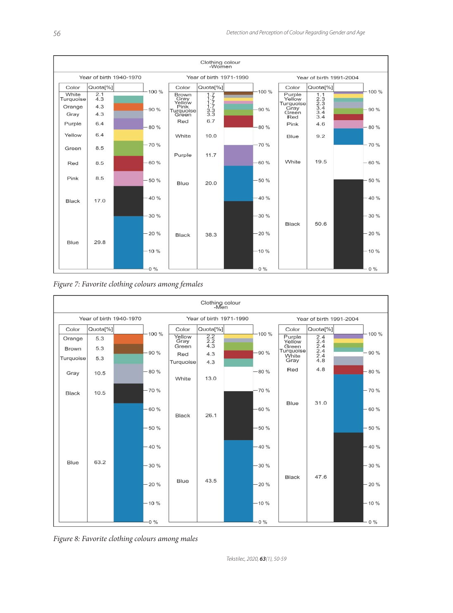

*Figure 7: Favorite clothing colours among females*



*Figure 8: Favorite clothing colours among males*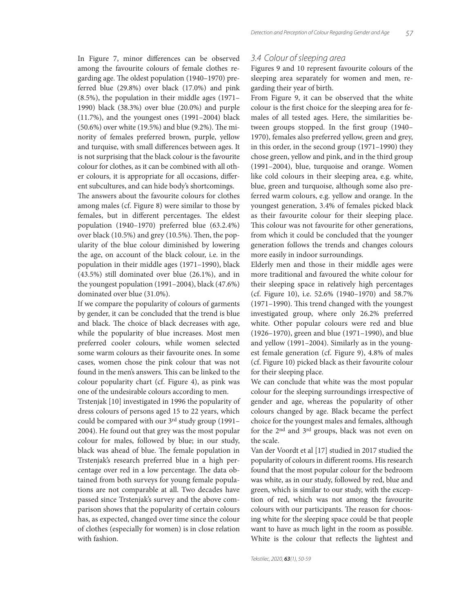In Figure 7, minor differences can be observed among the favourite colours of female clothes regarding age. The oldest population (1940–1970) preferred blue (29.8%) over black (17.0%) and pink (8.5%), the population in their middle ages (1971– 1990) black (38.3%) over blue (20.0%) and purple (11.7%), and the youngest ones (1991–2004) black  $(50.6\%)$  over white  $(19.5\%)$  and blue  $(9.2\%)$ . The minority of females preferred brown, purple, yellow and turquise, with small differences between ages. It is not surprising that the black colour is the favourite colour for clothes, as it can be combined with all other colours, it is appropriate for all occasions, different subcultures, and can hide body's shortcomings.

The answers about the favourite colours for clothes among males (cf. Figure 8) were similar to those by females, but in different percentages. The eldest population (1940–1970) preferred blue (63.2.4%) over black (10.5%) and grey (10.5%). Then, the popularity of the blue colour diminished by lowering the age, on account of the black colour, i.e. in the population in their middle ages (1971–1990), black (43.5%) still dominated over blue (26.1%), and in the youngest population (1991–2004), black (47.6%) dominated over blue (31.0%).

If we compare the popularity of colours of garments by gender, it can be concluded that the trend is blue and black. The choice of black decreases with age, while the popularity of blue increases. Most men preferred cooler colours, while women selected some warm colours as their favourite ones. In some cases, women chose the pink colour that was not found in the men's answers. This can be linked to the colour popularity chart (cf. Figure 4), as pink was one of the undesirable colours according to men.

Trstenjak [10] investigated in 1996 the popularity of dress colours of persons aged 15 to 22 years, which could be compared with our 3rd study group (1991– 2004). He found out that grey was the most popular colour for males, followed by blue; in our study, black was ahead of blue. The female population in Trstenjak's research preferred blue in a high percentage over red in a low percentage. The data obtained from both surveys for young female populations are not comparable at all. Two decades have passed since Trstenjak's survey and the above comparison shows that the popularity of certain colours has, as expected, changed over time since the colour of clothes (especially for women) is in close relation with fashion.

#### 3.4 Colour of sleeping area

Figures 9 and 10 represent favourite colours of the sleeping area separately for women and men, regarding their year of birth.

From Figure 9, it can be observed that the white colour is the first choice for the sleeping area for females of all tested ages. Here, the similarities between groups stopped. In the first group (1940– 1970), females also preferred yellow, green and grey, in this order, in the second group (1971–1990) they chose green, yellow and pink, and in the third group (1991–2004), blue, turquoise and orange. Women like cold colours in their sleeping area, e.g. white, blue, green and turquoise, although some also preferred warm colours, e.g. yellow and orange. In the youngest generation, 3.4% of females picked black as their favourite colour for their sleeping place. This colour was not favourite for other generations, from which it could be concluded that the younger generation follows the trends and changes colours more easily in indoor surroundings.

Elderly men and those in their middle ages were more traditional and favoured the white colour for their sleeping space in relatively high percentages (cf. Figure 10), i.e. 52.6% (1940–1970) and 58.7%  $(1971–1990)$ . This trend changed with the youngest investigated group, where only 26.2% preferred white. Other popular colours were red and blue (1926–1970), green and blue (1971–1990), and blue and yellow (1991–2004). Similarly as in the youngest female generation (cf. Figure 9), 4.8% of males (cf. Figure 10) picked black as their favourite colour for their sleeping place.

We can conclude that white was the most popular colour for the sleeping surroundings irrespective of gender and age, whereas the popularity of other colours changed by age. Black became the perfect choice for the youngest males and females, although for the 2nd and 3rd groups, black was not even on the scale.

Van der Voordt et al [17] studied in 2017 studied the popularity of colours in different rooms. His research found that the most popular colour for the bedroom was white, as in our study, followed by red, blue and green, which is similar to our study, with the exception of red, which was not among the favourite colours with our participants. The reason for choosing white for the sleeping space could be that people want to have as much light in the room as possible. White is the colour that reflects the lightest and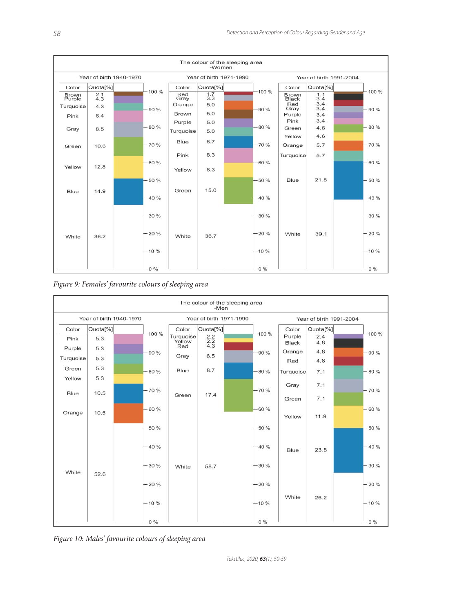

*Figure 9: Females' favourite colours of sleeping area*



*Figure 10: Males' favourite colours of sleeping area*